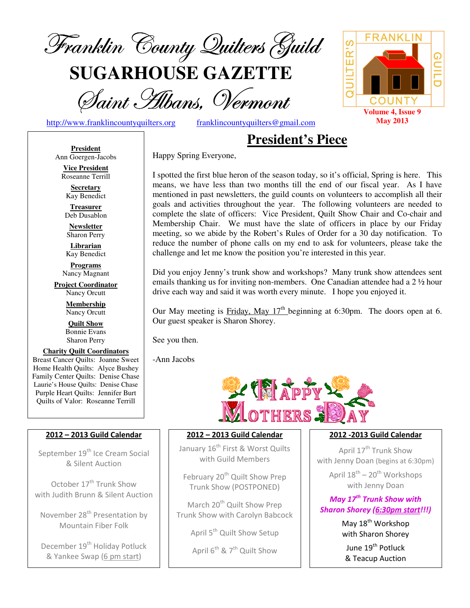

**SUGARHOUSE GAZETTE**

Saint Hibans, Vermont

http://www.franklincountyquilters.org franklincountyquilters@gmail.com

## **President's Piece**

Happy Spring Everyone,



**President** Ann Goergen-Jacobs **Vice President** 

Roseanne Terrill **Secretary**  Kay Benedict

**Treasurer**  Deb Dusablon

**Newsletter**  Sharon Perry

**Librarian**  Kay Benedict

**Programs** Nancy Magnant

**Project Coordinator** Nancy Orcutt

> **Membership**  Nancy Orcutt

**Quilt Show** Bonnie Evans Sharon Perry

**Charity Quilt Coordinators** Breast Cancer Quilts: Joanne Sweet Home Health Quilts: Alyce Bushey Family Center Quilts: Denise Chase Laurie's House Quilts: Denise Chase Purple Heart Quilts: Jennifer Burt Quilts of Valor: Roseanne Terrill

#### 2012 – 2013 Guild Calendar

September 19<sup>th</sup> Ice Cream Social & Silent Auction

October 17<sup>th</sup> Trunk Show with Judith Brunn & Silent Auction

November 28<sup>th</sup> Presentation by Mountain Fiber Folk

December 19<sup>th</sup> Holiday Potluck & Yankee Swap (6 pm start)

I spotted the first blue heron of the season today, so it's official, Spring is here. This means, we have less than two months till the end of our fiscal year. As I have mentioned in past newsletters, the guild counts on volunteers to accomplish all their goals and activities throughout the year. The following volunteers are needed to complete the slate of officers: Vice President, Quilt Show Chair and Co-chair and Membership Chair. We must have the slate of officers in place by our Friday meeting, so we abide by the Robert's Rules of Order for a 30 day notification. To reduce the number of phone calls on my end to ask for volunteers, please take the challenge and let me know the position you're interested in this year.

Did you enjoy Jenny's trunk show and workshops? Many trunk show attendees sent emails thanking us for inviting non-members. One Canadian attendee had a  $2\frac{1}{2}$  hour drive each way and said it was worth every minute. I hope you enjoyed it.

Our May meeting is Friday, May  $17<sup>th</sup>$  beginning at 6:30pm. The doors open at 6. Our guest speaker is Sharon Shorey.

See you then.

-Ann Jacobs



#### 2012 – 2013 Guild Calendar

January 16<sup>th</sup> First & Worst Quilts with Guild Members

February 20<sup>th</sup> Quilt Show Prep Trunk Show (POSTPONED)

March 20<sup>th</sup> Quilt Show Prep Trunk Show with Carolyn Babcock

April 5<sup>th</sup> Quilt Show Setup

April  $6^{th}$  &  $7^{th}$  Quilt Show

#### 2012 -2013 Guild Calendar

April 17<sup>th</sup> Trunk Show with Jenny Doan (begins at 6:30pm)

April  $18^{th}$  –  $20^{th}$  Workshops with Jenny Doan

May  $17^{th}$  Trunk Show with Sharon Shorey (6:30pm start!!!)

> May 18<sup>th</sup> Workshop with Sharon Shorey

June 19<sup>th</sup> Potluck & Teacup Auction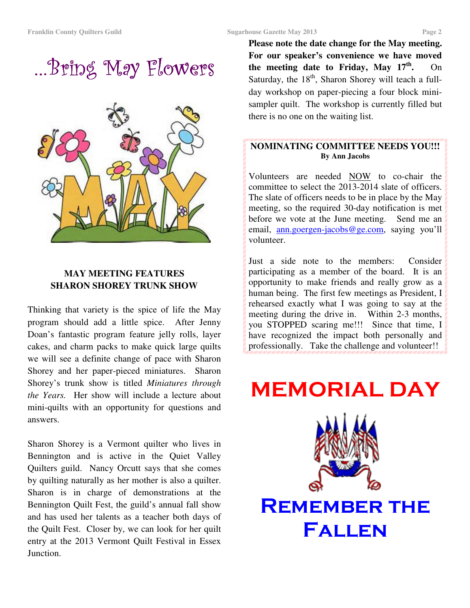…Bring May Flowers …Bring May Flowers



#### **MAY MEETING FEATURES SHARON SHOREY TRUNK SHOW**

Thinking that variety is the spice of life the May program should add a little spice. After Jenny Doan's fantastic program feature jelly rolls, layer cakes, and charm packs to make quick large quilts we will see a definite change of pace with Sharon Shorey and her paper-pieced miniatures. Sharon Shorey's trunk show is titled *Miniatures through the Years.* Her show will include a lecture about mini-quilts with an opportunity for questions and answers.

Sharon Shorey is a Vermont quilter who lives in Bennington and is active in the Quiet Valley Quilters guild. Nancy Orcutt says that she comes by quilting naturally as her mother is also a quilter. Sharon is in charge of demonstrations at the Bennington Quilt Fest, the guild's annual fall show and has used her talents as a teacher both days of the Quilt Fest. Closer by, we can look for her quilt entry at the 2013 Vermont Quilt Festival in Essex Junction.

**Please note the date change for the May meeting. For our speaker's convenience we have moved the meeting date to Friday, May 17th .** On Saturday, the  $18<sup>th</sup>$ , Sharon Shorey will teach a fullday workshop on paper-piecing a four block minisampler quilt. The workshop is currently filled but there is no one on the waiting list.

#### **NOMINATING COMMITTEE NEEDS YOU!!! By Ann Jacobs**

Volunteers are needed NOW to co-chair the committee to select the 2013-2014 slate of officers. The slate of officers needs to be in place by the May meeting, so the required 30-day notification is met before we vote at the June meeting. Send me an email, ann.goergen-jacobs@ge.com, saying you'll volunteer.

Just a side note to the members: Consider participating as a member of the board. It is an opportunity to make friends and really grow as a human being. The first few meetings as President, I rehearsed exactly what I was going to say at the meeting during the drive in. Within 2-3 months, you STOPPED scaring me!!! Since that time, I have recognized the impact both personally and professionally. Take the challenge and volunteer!!

# MEMORIAL DAY



**REMEMBER THE** Fallen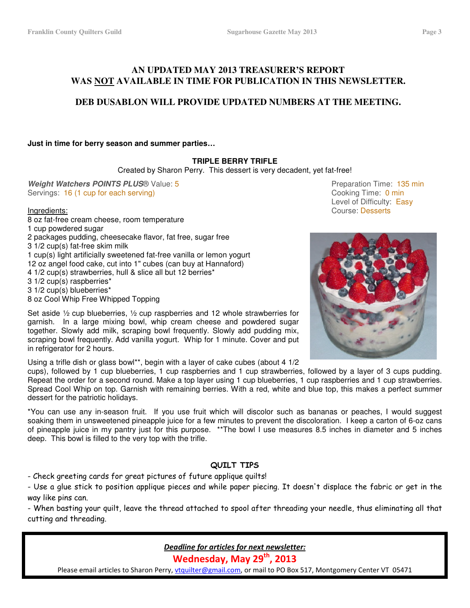#### **AN UPDATED MAY 2013 TREASURER'S REPORT WAS NOT AVAILABLE IN TIME FOR PUBLICATION IN THIS NEWSLETTER.**

#### **DEB DUSABLON WILL PROVIDE UPDATED NUMBERS AT THE MEETING.**

**Just in time for berry season and summer parties…**

#### **TRIPLE BERRY TRIFLE**

Created by Sharon Perry. This dessert is very decadent, yet fat-free!

**Weight Watchers POINTS PLUS**® Value: 5 **Preparation Time: 135 min** Servings: 16 (1 cup for each serving) Cooking Time: 0 min

8 oz fat-free cream cheese, room temperature 1 cup powdered sugar 2 packages pudding, cheesecake flavor, fat free, sugar free 3 1/2 cup(s) fat-free skim milk 1 cup(s) light artificially sweetened fat-free vanilla or lemon yogurt 12 oz angel food cake, cut into 1" cubes (can buy at Hannaford) 4 1/2 cup(s) strawberries, hull & slice all but 12 berries\* 3 1/2 cup(s) raspberries\* 3 1/2 cup(s) blueberries\* 8 oz Cool Whip Free Whipped Topping

Set aside ½ cup blueberries, ½ cup raspberries and 12 whole strawberries for garnish. In a large mixing bowl, whip cream cheese and powdered sugar together. Slowly add milk, scraping bowl frequently. Slowly add pudding mix, scraping bowl frequently. Add vanilla yogurt. Whip for 1 minute. Cover and put in refrigerator for 2 hours.

Using a trifle dish or glass bowl\*\*, begin with a layer of cake cubes (about 4 1/2

cups), followed by 1 cup blueberries, 1 cup raspberries and 1 cup strawberries, followed by a layer of 3 cups pudding. Repeat the order for a second round. Make a top layer using 1 cup blueberries, 1 cup raspberries and 1 cup strawberries. Spread Cool Whip on top. Garnish with remaining berries. With a red, white and blue top, this makes a perfect summer dessert for the patriotic holidays.

\*You can use any in-season fruit. If you use fruit which will discolor such as bananas or peaches, I would suggest soaking them in unsweetened pineapple juice for a few minutes to prevent the discoloration. I keep a carton of 6-oz cans of pineapple juice in my pantry just for this purpose. \*\*The bowl I use measures 8.5 inches in diameter and 5 inches deep. This bowl is filled to the very top with the trifle.

#### QUILT TIPS

- Check greeting cards for great pictures of future applique quilts!

- Use a glue stick to position applique pieces and while paper piecing. It doesn't displace the fabric or get in the way like pins can.

- When basting your quilt, leave the thread attached to spool after threading your needle, thus eliminating all that cutting and threading.

> Deadline for articles for next newsletter: Wednesday, May 29<sup>th</sup>, 2013

Please email articles to Sharon Perry, vtquilter@gmail.com, or mail to PO Box 517, Montgomery Center VT 05471

 Level of Difficulty: Easy Ingredients: Course: Desserts